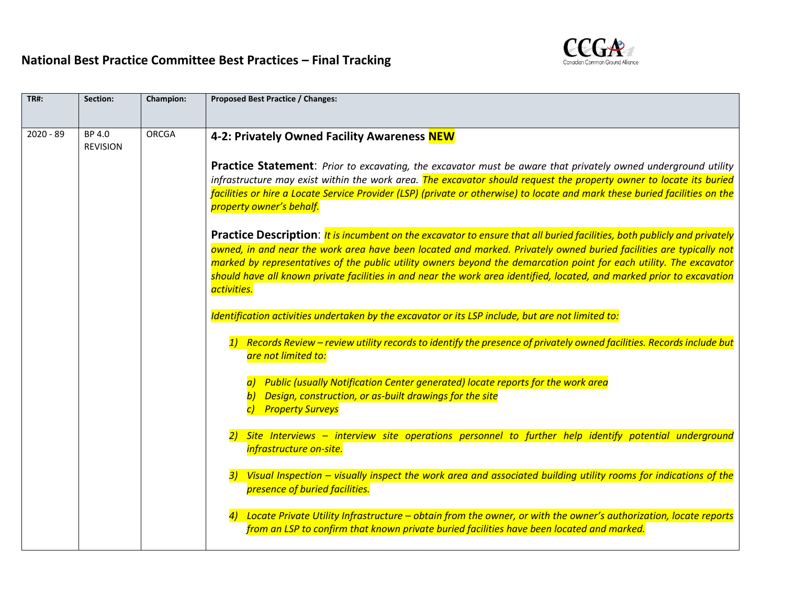## **National Best Practice Committee Best Practices – Final Tracking**



| <b>TR#:</b> | Section:                  | Champion:    | <b>Proposed Best Practice / Changes:</b>                                                                                                                                                                                                                                       |  |  |  |
|-------------|---------------------------|--------------|--------------------------------------------------------------------------------------------------------------------------------------------------------------------------------------------------------------------------------------------------------------------------------|--|--|--|
| $2020 - 89$ | BP 4.0<br><b>REVISION</b> | <b>ORCGA</b> | 4-2: Privately Owned Facility Awareness NEW                                                                                                                                                                                                                                    |  |  |  |
|             |                           |              | <b>Practice Statement:</b> Prior to excavating, the excavator must be aware that privately owned underground utility                                                                                                                                                           |  |  |  |
|             |                           |              | infrastructure may exist within the work area. The excavator should request the property owner to locate its buried<br>facilities or hire a Locate Service Provider (LSP) (private or otherwise) to locate and mark these buried facilities on the<br>property owner's behalf. |  |  |  |
|             |                           |              |                                                                                                                                                                                                                                                                                |  |  |  |
|             |                           |              | Practice Description: <i>It is incumbent on the excavator to ensure that all buried facilities, both publicly and privately</i><br>owned, in and near the work area have been located and marked. Privately owned buried facilities are typically not                          |  |  |  |
|             |                           |              | marked by representatives of the public utility owners beyond the demarcation point for each utility. The excavator                                                                                                                                                            |  |  |  |
|             |                           |              | should have all known private facilities in and near the work area identified, located, and marked prior to excavation<br>activities.                                                                                                                                          |  |  |  |
|             |                           |              | Identification activities undertaken by the excavator or its LSP include, but are not limited to:                                                                                                                                                                              |  |  |  |
|             |                           |              | Records Review - review utility records to identify the presence of privately owned facilities. Records include but<br>are not limited to:                                                                                                                                     |  |  |  |
|             |                           |              | a) Public (usually Notification Center generated) locate reports for the work area                                                                                                                                                                                             |  |  |  |
|             |                           |              | b) Design, construction, or as-built drawings for the site<br>c) Property Surveys                                                                                                                                                                                              |  |  |  |
|             |                           |              | Site Interviews - interview site operations personnel to further help identify potential underground<br>infrastructure on-site.                                                                                                                                                |  |  |  |
|             |                           |              | Visual Inspection – visually inspect the work area and associated building utility rooms for indications of the<br>presence of buried facilities.                                                                                                                              |  |  |  |
|             |                           |              | Locate Private Utility Infrastructure – obtain from the owner, or with the owner's authorization, locate reports<br>from an LSP to confirm that known private buried facilities have been located and marked.                                                                  |  |  |  |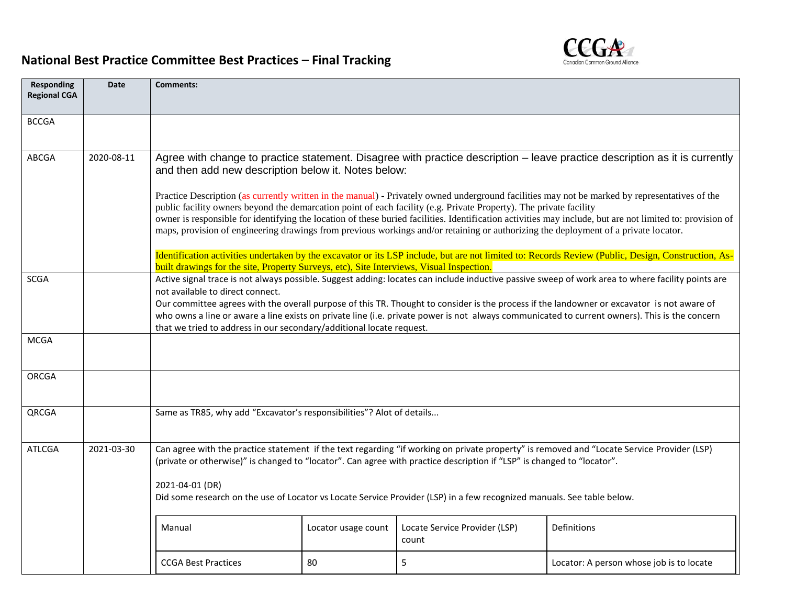## Canadian C ound Alliance

## **National Best Practice Committee Best Practices – Final Tracking**

| <b>Responding</b><br><b>Regional CGA</b> | <b>Date</b>                                                                                                                                                                                                                                                                        | Comments:                                                                                                                                                                                                                                                                                                                                                                                                                                                                                                                                                    |                                                                                                                                                                                                                                                                                                                                      |                                        |                                          |  |  |  |  |
|------------------------------------------|------------------------------------------------------------------------------------------------------------------------------------------------------------------------------------------------------------------------------------------------------------------------------------|--------------------------------------------------------------------------------------------------------------------------------------------------------------------------------------------------------------------------------------------------------------------------------------------------------------------------------------------------------------------------------------------------------------------------------------------------------------------------------------------------------------------------------------------------------------|--------------------------------------------------------------------------------------------------------------------------------------------------------------------------------------------------------------------------------------------------------------------------------------------------------------------------------------|----------------------------------------|------------------------------------------|--|--|--|--|
| <b>BCCGA</b>                             |                                                                                                                                                                                                                                                                                    |                                                                                                                                                                                                                                                                                                                                                                                                                                                                                                                                                              |                                                                                                                                                                                                                                                                                                                                      |                                        |                                          |  |  |  |  |
| <b>ABCGA</b>                             | 2020-08-11                                                                                                                                                                                                                                                                         |                                                                                                                                                                                                                                                                                                                                                                                                                                                                                                                                                              | Agree with change to practice statement. Disagree with practice description – leave practice description as it is currently<br>and then add new description below it. Notes below:<br>Practice Description (as currently written in the manual) - Privately owned underground facilities may not be marked by representatives of the |                                        |                                          |  |  |  |  |
|                                          |                                                                                                                                                                                                                                                                                    | public facility owners beyond the demarcation point of each facility (e.g. Private Property). The private facility<br>owner is responsible for identifying the location of these buried facilities. Identification activities may include, but are not limited to: provision of<br>maps, provision of engineering drawings from previous workings and/or retaining or authorizing the deployment of a private locator.                                                                                                                                       |                                                                                                                                                                                                                                                                                                                                      |                                        |                                          |  |  |  |  |
|                                          |                                                                                                                                                                                                                                                                                    | Identification activities undertaken by the excavator or its LSP include, but are not limited to: Records Review (Public, Design, Construction, As-<br>built drawings for the site, Property Surveys, etc), Site Interviews, Visual Inspection.                                                                                                                                                                                                                                                                                                              |                                                                                                                                                                                                                                                                                                                                      |                                        |                                          |  |  |  |  |
| <b>SCGA</b>                              |                                                                                                                                                                                                                                                                                    | Active signal trace is not always possible. Suggest adding: locates can include inductive passive sweep of work area to where facility points are<br>not available to direct connect.<br>Our committee agrees with the overall purpose of this TR. Thought to consider is the process if the landowner or excavator is not aware of<br>who owns a line or aware a line exists on private line (i.e. private power is not always communicated to current owners). This is the concern<br>that we tried to address in our secondary/additional locate request. |                                                                                                                                                                                                                                                                                                                                      |                                        |                                          |  |  |  |  |
| <b>MCGA</b>                              |                                                                                                                                                                                                                                                                                    |                                                                                                                                                                                                                                                                                                                                                                                                                                                                                                                                                              |                                                                                                                                                                                                                                                                                                                                      |                                        |                                          |  |  |  |  |
| ORCGA                                    |                                                                                                                                                                                                                                                                                    |                                                                                                                                                                                                                                                                                                                                                                                                                                                                                                                                                              |                                                                                                                                                                                                                                                                                                                                      |                                        |                                          |  |  |  |  |
| QRCGA                                    |                                                                                                                                                                                                                                                                                    | Same as TR85, why add "Excavator's responsibilities"? Alot of details                                                                                                                                                                                                                                                                                                                                                                                                                                                                                        |                                                                                                                                                                                                                                                                                                                                      |                                        |                                          |  |  |  |  |
| <b>ATLCGA</b>                            | Can agree with the practice statement if the text regarding "if working on private property" is removed and "Locate Service Provider (LSP)<br>2021-03-30<br>(private or otherwise)" is changed to "locator". Can agree with practice description if "LSP" is changed to "locator". |                                                                                                                                                                                                                                                                                                                                                                                                                                                                                                                                                              |                                                                                                                                                                                                                                                                                                                                      |                                        |                                          |  |  |  |  |
|                                          | Did some research on the use of Locator vs Locate Service Provider (LSP) in a few recognized manuals. See table below.                                                                                                                                                             |                                                                                                                                                                                                                                                                                                                                                                                                                                                                                                                                                              |                                                                                                                                                                                                                                                                                                                                      |                                        |                                          |  |  |  |  |
|                                          |                                                                                                                                                                                                                                                                                    | Manual                                                                                                                                                                                                                                                                                                                                                                                                                                                                                                                                                       | Locator usage count                                                                                                                                                                                                                                                                                                                  | Locate Service Provider (LSP)<br>count | Definitions                              |  |  |  |  |
|                                          |                                                                                                                                                                                                                                                                                    | <b>CCGA Best Practices</b>                                                                                                                                                                                                                                                                                                                                                                                                                                                                                                                                   | 80                                                                                                                                                                                                                                                                                                                                   | 5                                      | Locator: A person whose job is to locate |  |  |  |  |